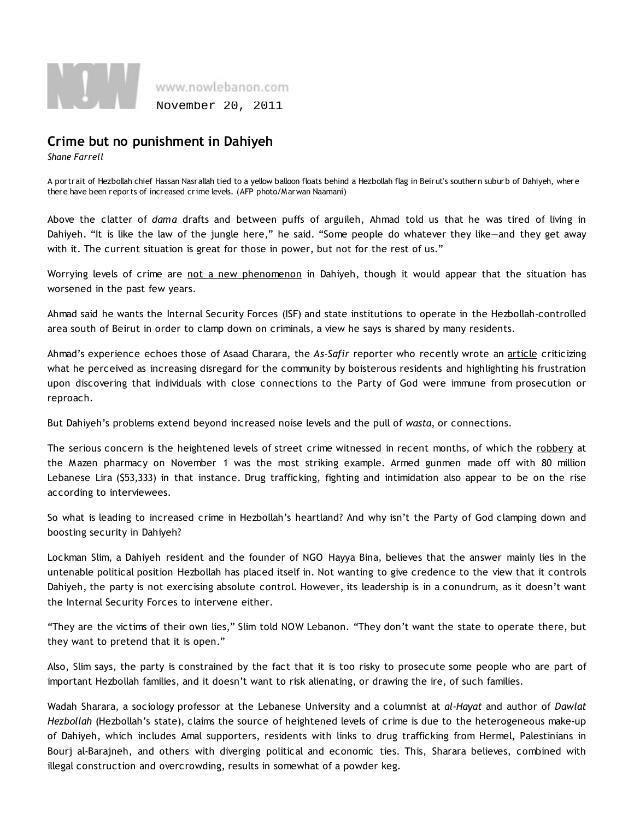

## Crime but no punishment in Dahiyeh

Shane Farrell

A portrait of Hezbollah chief Hassan Nasrallah tied to a yellow balloon floats behind a Hezbollah flag in Beirut's southern suburb of Dahiyeh, where there have been reports of increased crime levels. (AFP photo/Marwan Naamani)

Above the clatter of dama drafts and between puffs of arguileh, Ahmad told us that he was tired of living in Dahiyeh. "It is like the law of the jungle here," he said. "Some people do whatever they like—and they get away with it. The current situation is great for those in power, but not for the rest of us."

Worrying levels of crime are not a new phenomenon in Dahiyeh, though it would appear that the situation has worsened in the past few years.

Ahmad said he wants the Internal Security Forces (ISF) and state institutions to operate in the Hezbollah-controlled area south of Beirut in order to clamp down on criminals, a view he says is shared by many residents.

Ahmad's experience echoes those of Asaad Charara, the As-Safir reporter who recently wrote an article criticizing what he perceived as increasing disregard for the community by boisterous residents and highlighting his frustration upon discovering that individuals with close connections to the Party of God were immune from prosecution or reproach.

But Dahiyeh's problems extend beyond increased noise levels and the pull of wasta, or connections.

The serious concern is the heightened levels of street crime witnessed in recent months, of which the robbery at the Mazen pharmacy on November 1 was the most striking example. Armed gunmen made off with 80 million Lebanese Lira (\$53,333) in that instance. Drug trafficking, fighting and intimidation also appear to be on the rise according to interviewees.

So what is leading to increased crime in Hezbollah's heartland? And why isn't the Party of God clamping down and boosting security in Dahiyeh?

Lockman Slim, a Dahiyeh resident and the founder of NGO Hayya Bina, believes that the answer mainly lies in the untenable political position Hezbollah has placed itself in. Not wanting to give credence to the view that it controls Dahiyeh, the party is not exercising absolute control. However, its leadership is in a conundrum, as it doesn't want the Internal Security Forces to intervene either.

"They are the victims of their own lies," Slim told NOW Lebanon. "They don't want the state to operate there, but they want to pretend that it is open."

Also, Slim says, the party is constrained by the fact that it is too risky to prosecute some people who are part of important Hezbollah families, and it doesn't want to risk alienating, or drawing the ire, of such families.

Wadah Sharara, a sociology professor at the Lebanese University and a columnist at al-Hayat and author of Dawlat Hezbollah (Hezbollah's state), claims the source of heightened levels of crime is due to the heterogeneous make-up of Dahiyeh, which includes Amal supporters, residents with links to drug trafficking from Hermel, Palestinians in Bourj al-Barajneh, and others with diverging political and economic ties. This, Sharara believes, combined with illegal construction and overcrowding, results in somewhat of a powder keg.